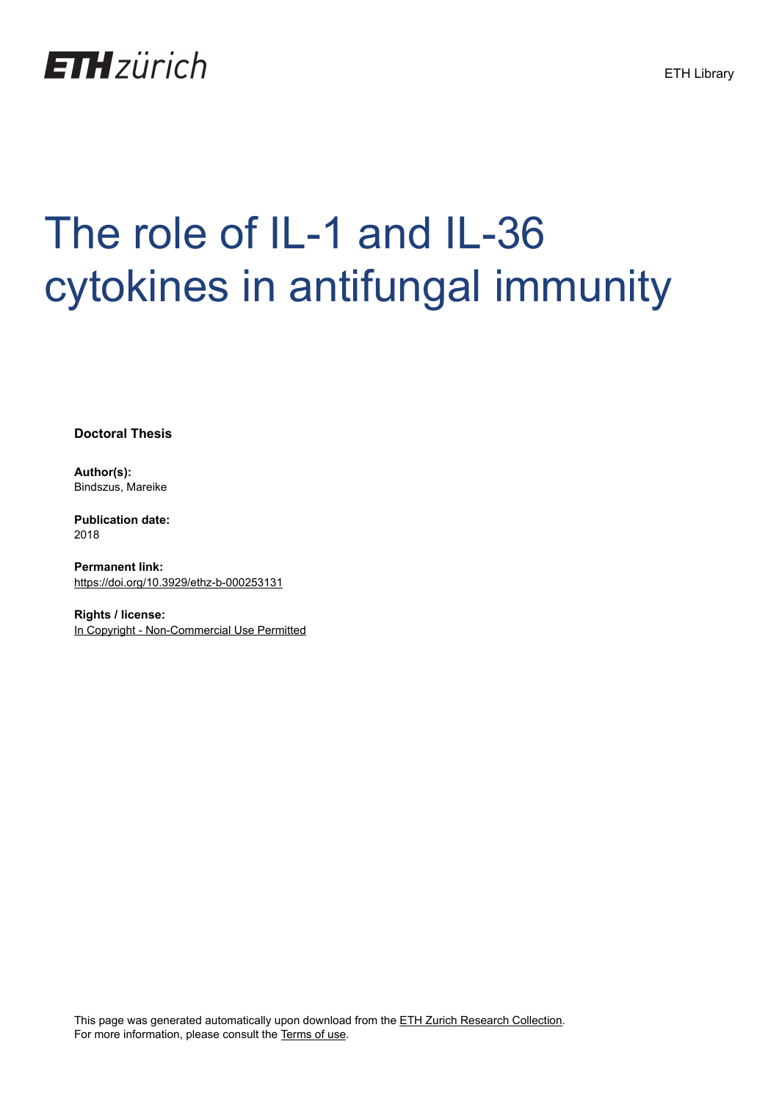

# The role of IL-1 and IL-36 cytokines in antifungal immunity

**Doctoral Thesis**

**Author(s):** Bindszus, Mareike

**Publication date:** 2018

**Permanent link:** <https://doi.org/10.3929/ethz-b-000253131>

**Rights / license:** [In Copyright - Non-Commercial Use Permitted](http://rightsstatements.org/page/InC-NC/1.0/)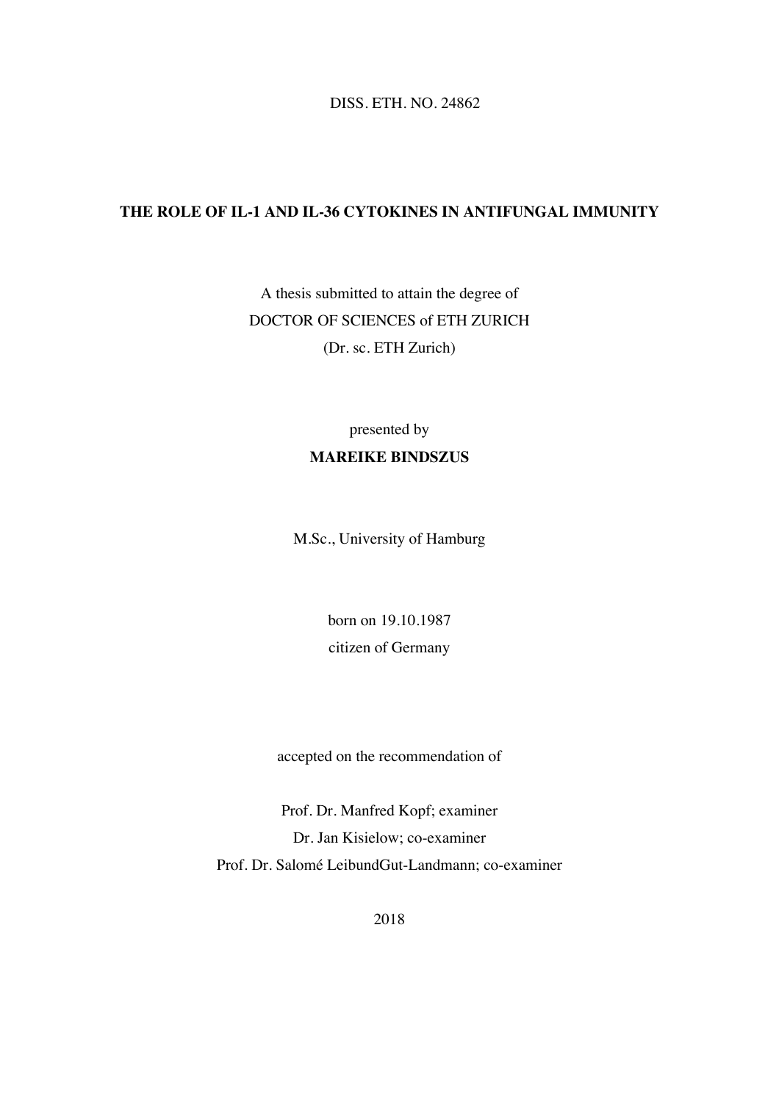DISS. ETH. NO. 24862

#### **THE ROLE OF IL-1 AND IL-36 CYTOKINES IN ANTIFUNGAL IMMUNITY**

A thesis submitted to attain the degree of DOCTOR OF SCIENCES of ETH ZURICH (Dr. sc. ETH Zurich)

### presented by **MAREIKE BINDSZUS**

M.Sc., University of Hamburg

born on 19.10.1987 citizen of Germany

accepted on the recommendation of

Prof. Dr. Manfred Kopf; examiner Dr. Jan Kisielow; co-examiner Prof. Dr. Salomé LeibundGut-Landmann; co-examiner

2018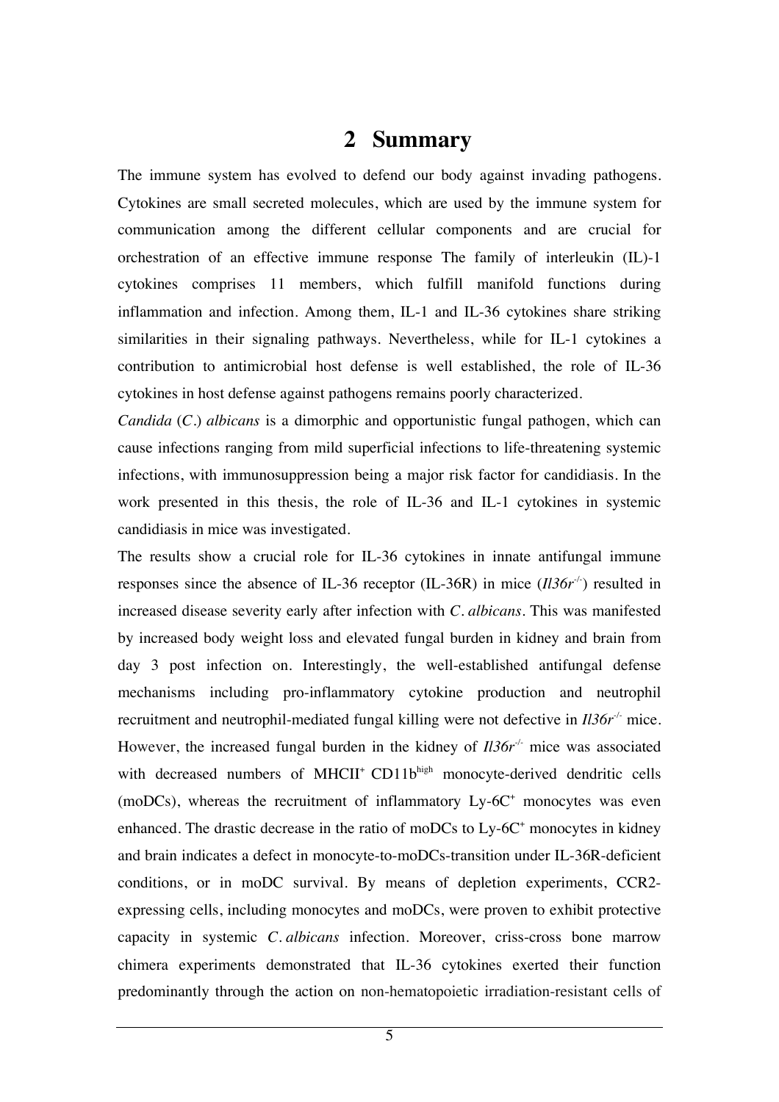#### **2 Summary**

The immune system has evolved to defend our body against invading pathogens. Cytokines are small secreted molecules, which are used by the immune system for communication among the different cellular components and are crucial for orchestration of an effective immune response The family of interleukin (IL)-1 cytokines comprises 11 members, which fulfill manifold functions during inflammation and infection. Among them, IL-1 and IL-36 cytokines share striking similarities in their signaling pathways. Nevertheless, while for IL-1 cytokines a contribution to antimicrobial host defense is well established, the role of IL-36 cytokines in host defense against pathogens remains poorly characterized.

*Candida* (*C.*) *albicans* is a dimorphic and opportunistic fungal pathogen, which can cause infections ranging from mild superficial infections to life-threatening systemic infections, with immunosuppression being a major risk factor for candidiasis. In the work presented in this thesis, the role of IL-36 and IL-1 cytokines in systemic candidiasis in mice was investigated.

The results show a crucial role for IL-36 cytokines in innate antifungal immune responses since the absence of IL-36 receptor (IL-36R) in mice (*Il36r<sup>-/-</sup>*) resulted in increased disease severity early after infection with *C. albicans*. This was manifested by increased body weight loss and elevated fungal burden in kidney and brain from day 3 post infection on. Interestingly, the well-established antifungal defense mechanisms including pro-inflammatory cytokine production and neutrophil recruitment and neutrophil-mediated fungal killing were not defective in *Il36r-/-* mice. However, the increased fungal burden in the kidney of  $II36r<sup>-/-</sup>$  mice was associated with decreased numbers of MHCII<sup>+</sup> CD11bhigh monocyte-derived dendritic cells (moDCs), whereas the recruitment of inflammatory  $Ly-6C<sup>+</sup>$  monocytes was even enhanced. The drastic decrease in the ratio of moDCs to  $Ly-6C^+$  monocytes in kidney and brain indicates a defect in monocyte-to-moDCs-transition under IL-36R-deficient conditions, or in moDC survival. By means of depletion experiments, CCR2 expressing cells, including monocytes and moDCs, were proven to exhibit protective capacity in systemic *C. albicans* infection. Moreover, criss-cross bone marrow chimera experiments demonstrated that IL-36 cytokines exerted their function predominantly through the action on non-hematopoietic irradiation-resistant cells of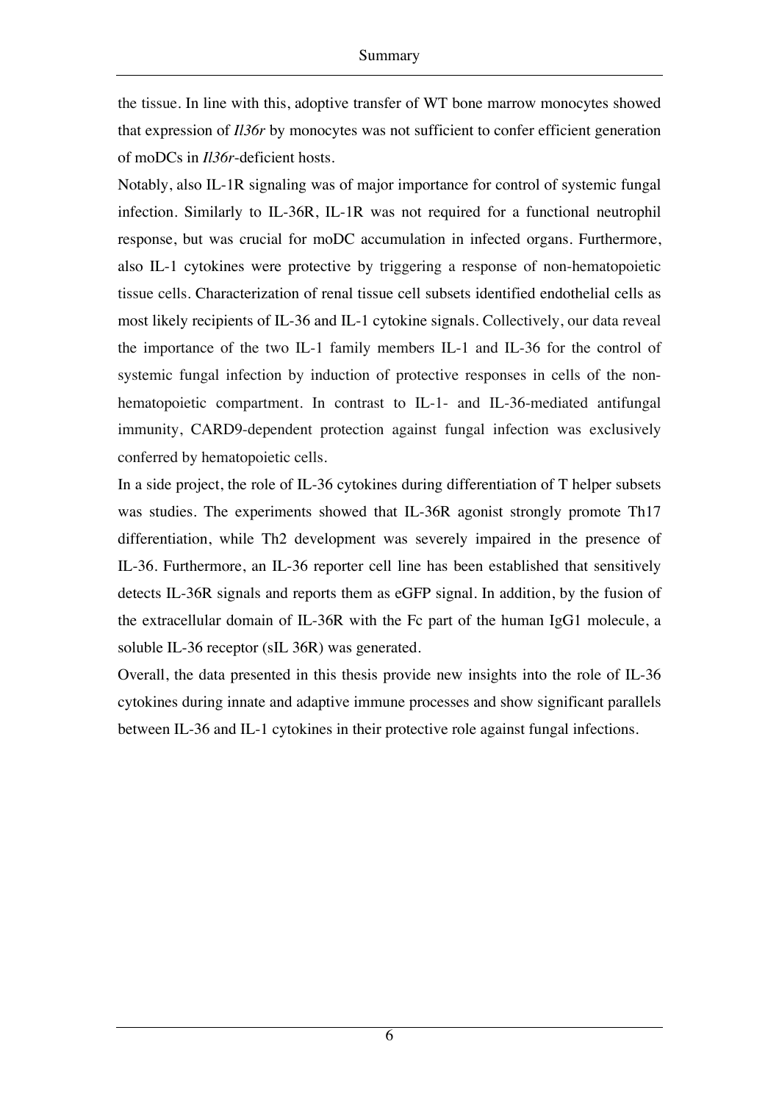the tissue. In line with this, adoptive transfer of WT bone marrow monocytes showed that expression of *Il36r* by monocytes was not sufficient to confer efficient generation of moDCs in *Il36r*-deficient hosts.

Notably, also IL-1R signaling was of major importance for control of systemic fungal infection. Similarly to IL-36R, IL-1R was not required for a functional neutrophil response, but was crucial for moDC accumulation in infected organs. Furthermore, also IL-1 cytokines were protective by triggering a response of non-hematopoietic tissue cells. Characterization of renal tissue cell subsets identified endothelial cells as most likely recipients of IL-36 and IL-1 cytokine signals. Collectively, our data reveal the importance of the two IL-1 family members IL-1 and IL-36 for the control of systemic fungal infection by induction of protective responses in cells of the nonhematopoietic compartment. In contrast to IL-1- and IL-36-mediated antifungal immunity, CARD9-dependent protection against fungal infection was exclusively conferred by hematopoietic cells.

In a side project, the role of IL-36 cytokines during differentiation of T helper subsets was studies. The experiments showed that IL-36R agonist strongly promote Th17 differentiation, while Th2 development was severely impaired in the presence of IL-36. Furthermore, an IL-36 reporter cell line has been established that sensitively detects IL-36R signals and reports them as eGFP signal. In addition, by the fusion of the extracellular domain of IL-36R with the Fc part of the human IgG1 molecule, a soluble IL-36 receptor (sIL 36R) was generated.

Overall, the data presented in this thesis provide new insights into the role of IL-36 cytokines during innate and adaptive immune processes and show significant parallels between IL-36 and IL-1 cytokines in their protective role against fungal infections.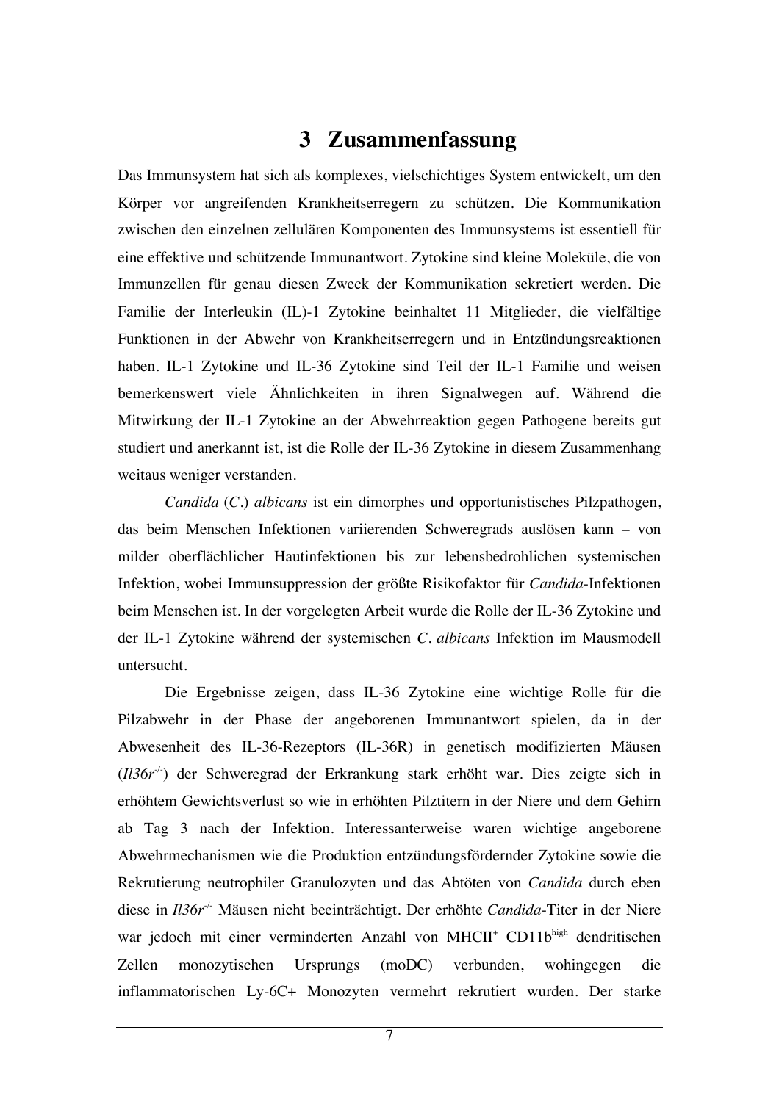## **3 Zusammenfassung**

Das Immunsystem hat sich als komplexes, vielschichtiges System entwickelt, um den Körper vor angreifenden Krankheitserregern zu schützen. Die Kommunikation zwischen den einzelnen zellulären Komponenten des Immunsystems ist essentiell für eine effektive und schützende Immunantwort. Zytokine sind kleine Moleküle, die von Immunzellen für genau diesen Zweck der Kommunikation sekretiert werden. Die Familie der Interleukin (IL)-1 Zytokine beinhaltet 11 Mitglieder, die vielfältige Funktionen in der Abwehr von Krankheitserregern und in Entzündungsreaktionen haben. IL-1 Zytokine und IL-36 Zytokine sind Teil der IL-1 Familie und weisen bemerkenswert viele Ähnlichkeiten in ihren Signalwegen auf. Während die Mitwirkung der IL-1 Zytokine an der Abwehrreaktion gegen Pathogene bereits gut studiert und anerkannt ist, ist die Rolle der IL-36 Zytokine in diesem Zusammenhang weitaus weniger verstanden.

*Candida* (*C.*) *albicans* ist ein dimorphes und opportunistisches Pilzpathogen, das beim Menschen Infektionen variierenden Schweregrads auslösen kann – von milder oberflächlicher Hautinfektionen bis zur lebensbedrohlichen systemischen Infektion, wobei Immunsuppression der größte Risikofaktor für *Candida*-Infektionen beim Menschen ist. In der vorgelegten Arbeit wurde die Rolle der IL-36 Zytokine und der IL-1 Zytokine während der systemischen *C. albicans* Infektion im Mausmodell untersucht.

Die Ergebnisse zeigen, dass IL-36 Zytokine eine wichtige Rolle für die Pilzabwehr in der Phase der angeborenen Immunantwort spielen, da in der Abwesenheit des IL-36-Rezeptors (IL-36R) in genetisch modifizierten Mäusen (*Il36r<sup>-/-</sup>*) der Schweregrad der Erkrankung stark erhöht war. Dies zeigte sich in erhöhtem Gewichtsverlust so wie in erhöhten Pilztitern in der Niere und dem Gehirn ab Tag 3 nach der Infektion. Interessanterweise waren wichtige angeborene Abwehrmechanismen wie die Produktion entzündungsfördernder Zytokine sowie die Rekrutierung neutrophiler Granulozyten und das Abtöten von *Candida* durch eben diese in *Il36r -/-* Mäusen nicht beeinträchtigt. Der erhöhte *Candida*-Titer in der Niere war jedoch mit einer verminderten Anzahl von MHCII<sup>+</sup> CD11bhigh dendritischen Zellen monozytischen Ursprungs (moDC) verbunden, wohingegen die inflammatorischen Ly-6C+ Monozyten vermehrt rekrutiert wurden. Der starke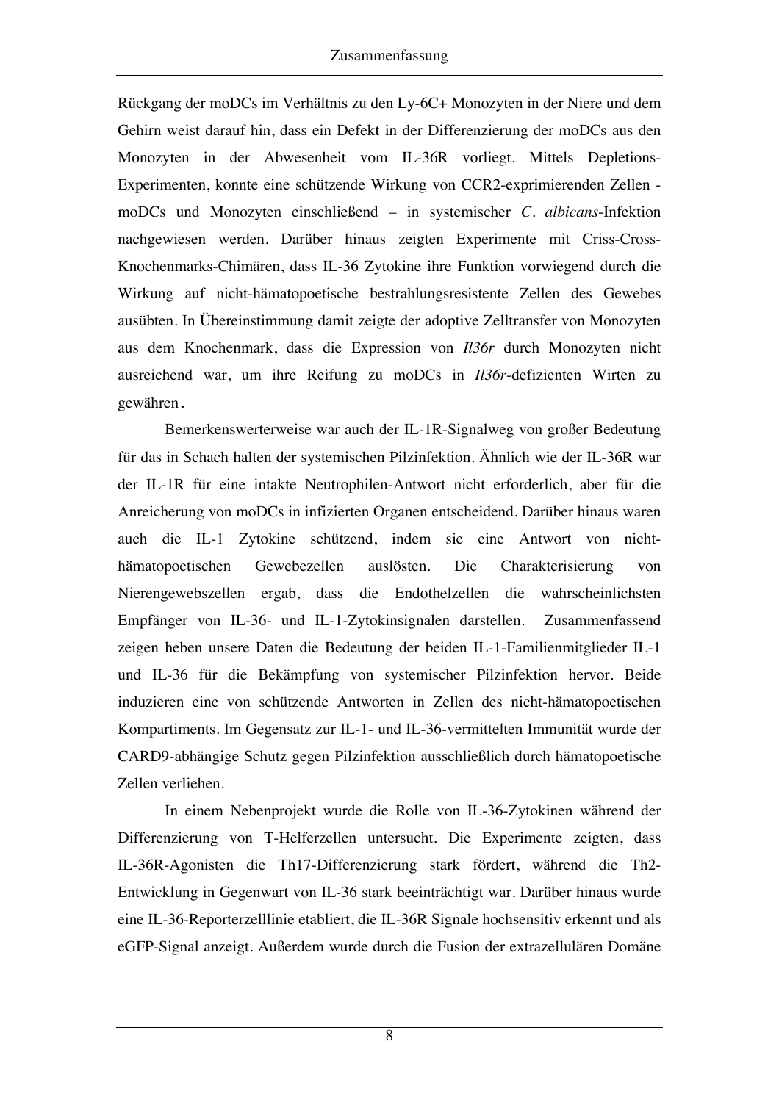Rückgang der moDCs im Verhältnis zu den Ly-6C+ Monozyten in der Niere und dem Gehirn weist darauf hin, dass ein Defekt in der Differenzierung der moDCs aus den Monozyten in der Abwesenheit vom IL-36R vorliegt. Mittels Depletions-Experimenten, konnte eine schützende Wirkung von CCR2-exprimierenden Zellen moDCs und Monozyten einschließend – in systemischer *C. albicans*-Infektion nachgewiesen werden. Darüber hinaus zeigten Experimente mit Criss-Cross-Knochenmarks-Chimären, dass IL-36 Zytokine ihre Funktion vorwiegend durch die Wirkung auf nicht-hämatopoetische bestrahlungsresistente Zellen des Gewebes ausübten. In Übereinstimmung damit zeigte der adoptive Zelltransfer von Monozyten aus dem Knochenmark, dass die Expression von *Il36r* durch Monozyten nicht ausreichend war, um ihre Reifung zu moDCs in *Il36r*-defizienten Wirten zu gewähren.

Bemerkenswerterweise war auch der IL-1R-Signalweg von großer Bedeutung für das in Schach halten der systemischen Pilzinfektion. Ähnlich wie der IL-36R war der IL-1R für eine intakte Neutrophilen-Antwort nicht erforderlich, aber für die Anreicherung von moDCs in infizierten Organen entscheidend. Darüber hinaus waren auch die IL-1 Zytokine schützend, indem sie eine Antwort von nichthämatopoetischen Gewebezellen auslösten. Die Charakterisierung von Nierengewebszellen ergab, dass die Endothelzellen die wahrscheinlichsten Empfänger von IL-36- und IL-1-Zytokinsignalen darstellen. Zusammenfassend zeigen heben unsere Daten die Bedeutung der beiden IL-1-Familienmitglieder IL-1 und IL-36 für die Bekämpfung von systemischer Pilzinfektion hervor. Beide induzieren eine von schützende Antworten in Zellen des nicht-hämatopoetischen Kompartiments. Im Gegensatz zur IL-1- und IL-36-vermittelten Immunität wurde der CARD9-abhängige Schutz gegen Pilzinfektion ausschließlich durch hämatopoetische Zellen verliehen.

In einem Nebenprojekt wurde die Rolle von IL-36-Zytokinen während der Differenzierung von T-Helferzellen untersucht. Die Experimente zeigten, dass IL-36R-Agonisten die Th17-Differenzierung stark fördert, während die Th2- Entwicklung in Gegenwart von IL-36 stark beeinträchtigt war. Darüber hinaus wurde eine IL-36-Reporterzelllinie etabliert, die IL-36R Signale hochsensitiv erkennt und als eGFP-Signal anzeigt. Außerdem wurde durch die Fusion der extrazellulären Domäne